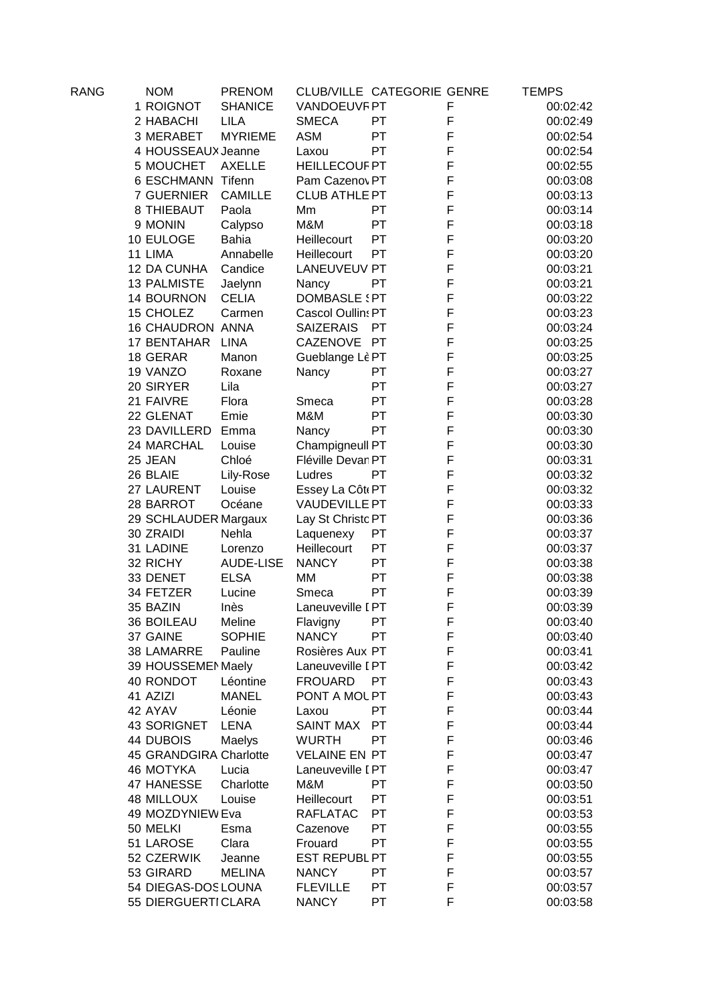| RANG | <b>NOM</b>              | <b>PRENOM</b>  |                      | CLUB/VILLE CATEGORIE GENRE |   | TEMPS    |
|------|-------------------------|----------------|----------------------|----------------------------|---|----------|
|      | 1 ROIGNOT               | <b>SHANICE</b> | <b>VANDOEUVF PT</b>  |                            | F | 00:02:42 |
|      | 2 HABACHI               | <b>LILA</b>    | <b>SMECA</b>         | PT                         | F | 00:02:49 |
|      | 3 MERABET               | <b>MYRIEME</b> | <b>ASM</b>           | PT                         | F | 00:02:54 |
|      | 4 HOUSSEAUX Jeanne      |                | Laxou                | PT                         | F | 00:02:54 |
|      | 5 MOUCHET               | <b>AXELLE</b>  | <b>HEILLECOUF PT</b> |                            | F | 00:02:55 |
|      | 6 ESCHMANN Tifenn       |                | Pam Cazenov PT       |                            | F | 00:03:08 |
|      | 7 GUERNIER              | <b>CAMILLE</b> | <b>CLUB ATHLE PT</b> |                            | F | 00:03:13 |
|      | 8 THIEBAUT              | Paola          | Mm                   | PT                         | F | 00:03:14 |
|      | 9 MONIN                 | Calypso        | M&M                  | PT                         | F | 00:03:18 |
|      | 10 EULOGE               | Bahia          | Heillecourt          | PT                         | F | 00:03:20 |
|      | 11 LIMA                 | Annabelle      | Heillecourt          | PT                         | F | 00:03:20 |
|      | 12 DA CUNHA             | Candice        | <b>LANEUVEUV PT</b>  |                            | F | 00:03:21 |
|      | <b>13 PALMISTE</b>      | Jaelynn        | Nancy                | PT                         | F | 00:03:21 |
|      | 14 BOURNON              | <b>CELIA</b>   | <b>DOMBASLE SPT</b>  |                            | F | 00:03:22 |
|      | 15 CHOLEZ               | Carmen         | Cascol Oullin: PT    |                            | F | 00:03:23 |
|      | <b>16 CHAUDRON ANNA</b> |                | <b>SAIZERAIS</b>     | PT                         | F | 00:03:24 |
|      | 17 BENTAHAR             | LINA           | <b>CAZENOVE</b>      | PT                         | F | 00:03:25 |
|      | 18 GERAR                | Manon          | Gueblange Lè PT      |                            | F | 00:03:25 |
|      | 19 VANZO                | Roxane         | Nancy                | PT.                        | F | 00:03:27 |
|      | 20 SIRYER               | Lila           |                      | PT                         | F | 00:03:27 |
|      | 21 FAIVRE               | Flora          | Smeca                | PT                         | F | 00:03:28 |
|      | 22 GLENAT               | Emie           | M&M                  | PT                         | F | 00:03:30 |
|      | 23 DAVILLERD Emma       |                | Nancy                | PT                         | F | 00:03:30 |
|      | 24 MARCHAL              | Louise         | Champigneull PT      |                            | F | 00:03:30 |
|      | 25 JEAN                 | Chloé          | Fléville Devan PT    |                            | F | 00:03:31 |
|      | 26 BLAIE                | Lily-Rose      | Ludres               | PT                         | F | 00:03:32 |
|      | 27 LAURENT              | Louise         | Essey La Côt PT      |                            | F | 00:03:32 |
|      | 28 BARROT               | Océane         | <b>VAUDEVILLE PT</b> |                            | F | 00:03:33 |
|      | 29 SCHLAUDER Margaux    |                | Lay St Christo PT    |                            | F | 00:03:36 |
|      | 30 ZRAIDI               | Nehla          | Laquenexy            | PT                         | F | 00:03:37 |
|      | 31 LADINE               | Lorenzo        | Heillecourt          | PT                         | F | 00:03:37 |
|      | 32 RICHY                | AUDE-LISE      | <b>NANCY</b>         | PT                         | F | 00:03:38 |
|      | 33 DENET                | <b>ELSA</b>    | MM                   | PT                         | F | 00:03:38 |
|      | 34 FETZER               | Lucine         | Smeca                | PT                         | F | 00:03:39 |
|      | 35 BAZIN                | Inès           | Laneuveville I PT    |                            | F | 00:03:39 |
|      | 36 BOILEAU              | Meline         | Flavigny             | PT                         | F | 00:03:40 |
|      | 37 GAINE                | <b>SOPHIE</b>  | <b>NANCY</b>         | PT.                        | F | 00:03:40 |
|      | 38 LAMARRE              | Pauline        | Rosières Aux PT      |                            | F | 00:03:41 |
|      | 39 HOUSSEMEN Maely      |                | Laneuveville I PT    |                            | F | 00:03:42 |
|      | 40 RONDOT               | Léontine       | <b>FROUARD</b>       | <b>PT</b>                  | F | 00:03:43 |
|      | 41 AZIZI                | <b>MANEL</b>   | PONT A MOL PT        |                            | F | 00:03:43 |
|      | 42 AYAV                 | Léonie         | Laxou                | PT                         | F | 00:03:44 |
|      | 43 SORIGNET             | <b>LENA</b>    | <b>SAINT MAX</b>     | PT                         | F | 00:03:44 |
|      | 44 DUBOIS               | Maelys         | <b>WURTH</b>         | PT                         | F | 00:03:46 |
|      | 45 GRANDGIRA Charlotte  |                | <b>VELAINE EN PT</b> |                            | F | 00:03:47 |
|      | 46 MOTYKA               | Lucia          | Laneuveville I PT    |                            | F | 00:03:47 |
|      | 47 HANESSE              | Charlotte      | M&M                  | PT                         | F | 00:03:50 |
|      | <b>48 MILLOUX</b>       | Louise         | Heillecourt          | PT                         | F | 00:03:51 |
|      | 49 MOZDYNIEW Eva        |                | <b>RAFLATAC</b>      | PT                         | F | 00:03:53 |
|      | 50 MELKI                | Esma           | Cazenove             | PT                         | F | 00:03:55 |
|      | 51 LAROSE               | Clara          | Frouard              | PT                         | F | 00:03:55 |
|      | 52 CZERWIK              | Jeanne         | <b>EST REPUBL PT</b> |                            | F | 00:03:55 |
|      | 53 GIRARD               | <b>MELINA</b>  | <b>NANCY</b>         | PT.                        | F | 00:03:57 |
|      | 54 DIEGAS-DOS LOUNA     |                | <b>FLEVILLE</b>      | PT                         | F | 00:03:57 |
|      | 55 DIERGUERTI CLARA     |                | <b>NANCY</b>         | PT                         | F | 00:03:58 |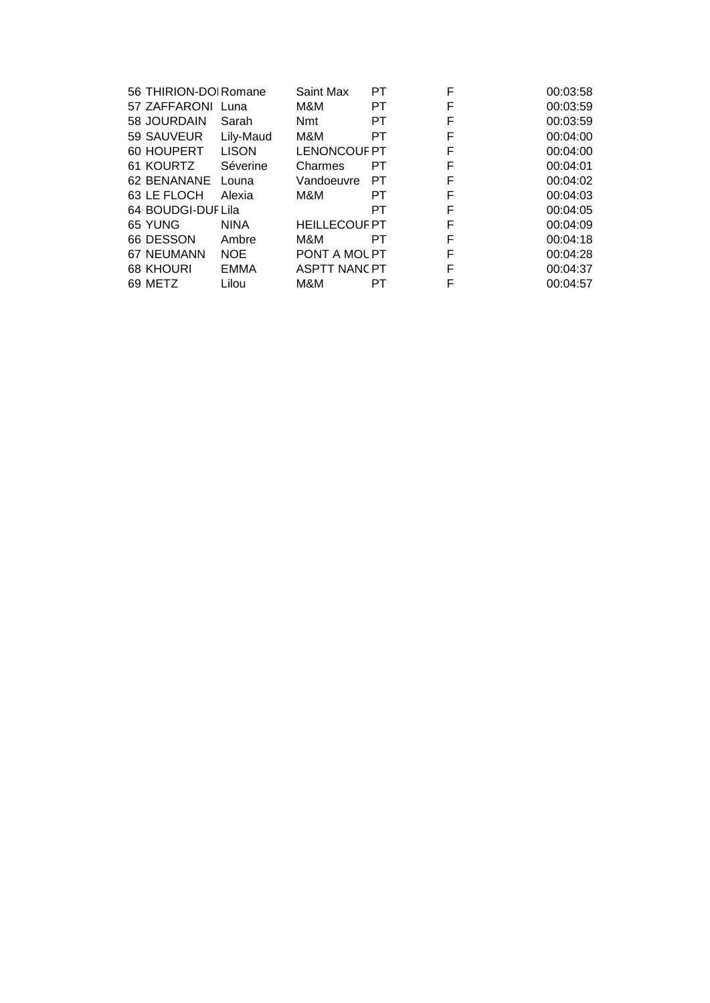| 56 THIRION-DOI Romane |              | Saint Max            | PT.       | F | 00:03:58 |
|-----------------------|--------------|----------------------|-----------|---|----------|
| 57 ZAFFARONI          | Luna         | M&M                  | <b>PT</b> | F | 00:03:59 |
| 58 JOURDAIN           | Sarah        | <b>Nmt</b>           | PT        | F | 00:03:59 |
| 59 SAUVEUR            | Lily-Maud    | M&M                  | РT        | F | 00:04:00 |
| 60 HOUPERT            | <b>LISON</b> | <b>LENONCOUF PT</b>  |           | F | 00:04:00 |
| 61 KOURTZ             | Séverine     | Charmes              | РT        | F | 00:04:01 |
| 62 BENANANE           | Louna        | Vandoeuvre           | PT.       | F | 00:04:02 |
| 63 LE FLOCH           | Alexia       | M&M                  | PT.       | F | 00:04:03 |
| 64 BOUDGI-DUF Lila    |              |                      | PT        | F | 00:04:05 |
| 65 YUNG               | <b>NINA</b>  | <b>HEILLECOUF PT</b> |           | F | 00:04:09 |
| 66 DESSON             | Ambre        | M&M                  | PТ        | F | 00:04:18 |
| <b>67 NEUMANN</b>     | <b>NOE</b>   | PONT A MOL PT        |           | F | 00:04:28 |
| <b>68 KHOURI</b>      | <b>EMMA</b>  | ASPTT NANC PT        |           | F | 00:04:37 |
| 69 METZ               | Lilou        | M&M                  | PТ        | F | 00:04:57 |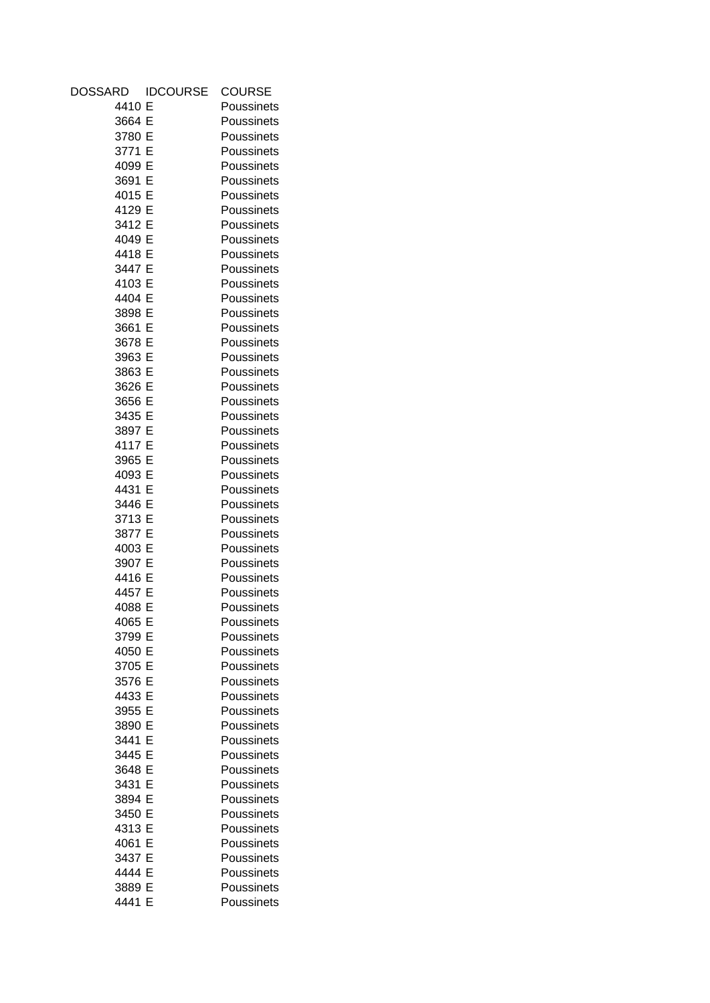| DOSSARD          | <b>IDCOURSE</b> | <b>COURSE</b>            |
|------------------|-----------------|--------------------------|
| 4410             | Е               | Poussinets               |
| 3664 E           |                 | Poussinets               |
| 3780 E           |                 | Poussinets               |
| 3771 E           |                 | Poussinets               |
| 4099 E           |                 | Poussinets               |
| 3691 E           |                 | Poussinets               |
| 4015 E           |                 | Poussinets               |
| 4129 E           |                 | Poussinets               |
| 3412 E           |                 | Poussinets               |
| 4049 E           |                 | Poussinets               |
| 4418 E           |                 | Poussinets               |
| 3447 E           |                 | Poussinets               |
| 4103 E           |                 | Poussinets               |
| 4404 E           |                 | Poussinets               |
| 3898 E           |                 | Poussinets               |
| 3661 E           |                 | Poussinets               |
| 3678 E           |                 | Poussinets               |
| 3963 E           |                 | Poussinets               |
| 3863 E           |                 | Poussinets               |
| 3626 E           |                 | Poussinets               |
| 3656 E           |                 | Poussinets               |
| 3435 E           |                 | Poussinets               |
| 3897 E           |                 |                          |
| 4117 E           |                 | Poussinets               |
| 3965 E           |                 | Poussinets<br>Poussinets |
| 4093 E           |                 | Poussinets               |
| 4431 E           |                 | Poussinets               |
| 3446 E           |                 | Poussinets               |
| 3713 E           |                 | Poussinets               |
| 3877 E           |                 | Poussinets               |
| 4003 E           |                 | Poussinets               |
| 3907 E           |                 | Poussinets               |
| 4416 E           |                 | Poussinets               |
| 4457 E           |                 | Poussinets               |
| 4088 E           |                 | Poussinets               |
| 4065 E           |                 | Poussinets               |
|                  |                 |                          |
| 3799 E           |                 | Poussinets<br>Poussinets |
| 4050 E<br>3705 E |                 | Poussinets               |
|                  |                 | Poussinets               |
| 3576 E<br>4433 E |                 | Poussinets               |
|                  |                 |                          |
| 3955 E           |                 | Poussinets               |
| 3890 E           |                 | Poussinets               |
| 3441 E           |                 | Poussinets               |
| 3445 E           |                 | Poussinets               |
| 3648 E           |                 | Poussinets               |
| 3431 E           |                 | Poussinets               |
| 3894 E           |                 | Poussinets               |
| 3450 E           |                 | Poussinets               |
| 4313 E           |                 | Poussinets               |
| 4061 E           |                 | Poussinets               |
| 3437 E           |                 | Poussinets               |
| 4444 E           |                 | Poussinets               |
| 3889 E           |                 | Poussinets               |
| 4441 E           |                 | Poussinets               |